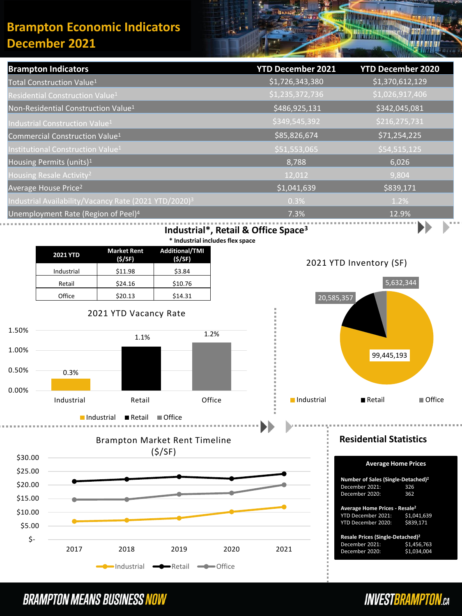### **Brampton Economic Indicators December 2021**



| <b>Brampton Indicators</b>                                        | <b>YTD December 2021</b> | <b>YTD December 2020</b> |
|-------------------------------------------------------------------|--------------------------|--------------------------|
| Total Construction Value <sup>1</sup>                             | \$1,726,343,380          | \$1,370,612,129          |
| Residential Construction Value <sup>1</sup>                       | 51,235,372,736           | \$1,026,917,406          |
| Non-Residential Construction Value <sup>1</sup>                   | \$486,925,131            | \$342,045,081            |
| Industrial Construction Value <sup>1</sup>                        | \$349,545,392            | \$216,275,731            |
| Commercial Construction Value <sup>1</sup>                        | \$85,826,674             | \$71,254,225             |
| Institutional Construction Value <sup>1</sup>                     | \$51,553,065             | \$54,515,125             |
| Housing Permits (units) <sup>1</sup>                              | 8,788                    | 6,026                    |
| Housing Resale Activity <sup>2</sup>                              | 12,012                   | 9,804                    |
| Average House Price <sup>2</sup>                                  | \$1,041,639              | \$839,171                |
| Industrial Availability/Vacancy Rate (2021 YTD/2020) <sup>3</sup> | 0.3%                     | 1.2%                     |
| Unemployment Rate (Region of Peel) <sup>4</sup>                   | 7.3%                     | 12.9%                    |
|                                                                   |                          | <b>JP 10</b>             |





**BRAMPTON MEANS BUSINESS NOW** 

# **INVESTBRAMPTON.ca**